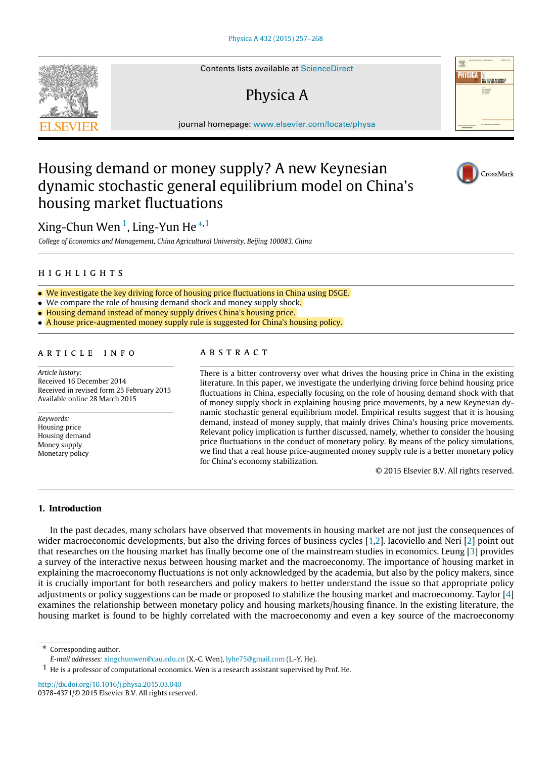Contents lists available at [ScienceDirect](http://www.elsevier.com/locate/physa)

# Physica A

journal homepage: [www.elsevier.com/locate/physa](http://www.elsevier.com/locate/physa)

## Housing demand or money supply? A new Keynesian dynamic stochastic general equilibrium model on China's housing market fluctuations

Xing-Chun Wen<sup>[1](#page-0-0)</sup>, Ling-Yun He<sup>\*[,1](#page-0-0)</sup>

*College of Economics and Management, China Agricultural University, Beijing 100083, China*

## h i g h l i g h t s

- We investigate the key driving force of housing price fluctuations in China using DSGE.
- We compare the role of housing demand shock and money supply shock.
- Housing demand instead of money supply drives China's housing price.
- A house price-augmented money supply rule is suggested for China's housing policy.

## a r t i c l e i n f o

*Article history:* Received 16 December 2014 Received in revised form 25 February 2015 Available online 28 March 2015

*Keywords:* Housing price Housing demand Money supply Monetary policy

## A B S T R A C T

There is a bitter controversy over what drives the housing price in China in the existing literature. In this paper, we investigate the underlying driving force behind housing price fluctuations in China, especially focusing on the role of housing demand shock with that of money supply shock in explaining housing price movements, by a new Keynesian dynamic stochastic general equilibrium model. Empirical results suggest that it is housing demand, instead of money supply, that mainly drives China's housing price movements. Relevant policy implication is further discussed, namely, whether to consider the housing price fluctuations in the conduct of monetary policy. By means of the policy simulations, we find that a real house price-augmented money supply rule is a better monetary policy for China's economy stabilization.

© 2015 Elsevier B.V. All rights reserved.

## **1. Introduction**

In the past decades, many scholars have observed that movements in housing market are not just the consequences of wider macroeconomic developments, but also the driving forces of business cycles [\[1,](#page-10-0)[2\]](#page-10-1). Iacoviello and Neri [\[2\]](#page-10-1) point out that researches on the housing market has finally become one of the mainstream studies in economics. Leung [\[3\]](#page-10-2) provides a survey of the interactive nexus between housing market and the macroeconomy. The importance of housing market in explaining the macroeconomy fluctuations is not only acknowledged by the academia, but also by the policy makers, since it is crucially important for both researchers and policy makers to better understand the issue so that appropriate policy adjustments or policy suggestions can be made or proposed to stabilize the housing market and macroeconomy. Taylor [\[4\]](#page-10-3) examines the relationship between monetary policy and housing markets/housing finance. In the existing literature, the housing market is found to be highly correlated with the macroeconomy and even a key source of the macroeconomy

<span id="page-0-1"></span>Corresponding author. *E-mail addresses:* [xingchunwen@cau.edu.cn](mailto:xingchunwen@cau.edu.cn) (X.-C. Wen), [lyhe75@gmail.com](mailto:lyhe75@gmail.com) (L.-Y. He).

<http://dx.doi.org/10.1016/j.physa.2015.03.040> 0378-4371/© 2015 Elsevier B.V. All rights reserved.







<span id="page-0-0"></span> $1\,$  He is a professor of computational economics. Wen is a research assistant supervised by Prof. He.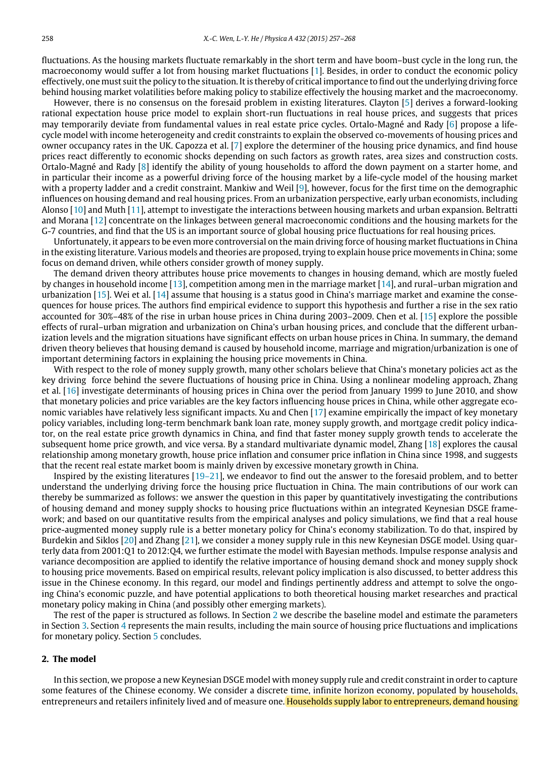fluctuations. As the housing markets fluctuate remarkably in the short term and have boom–bust cycle in the long run, the macroeconomy would suffer a lot from housing market fluctuations [\[1\]](#page-10-0). Besides, in order to conduct the economic policy effectively, one must suit the policy to the situation. It is thereby of critical importance to find out the underlying driving force behind housing market volatilities before making policy to stabilize effectively the housing market and the macroeconomy.

However, there is no consensus on the foresaid problem in existing literatures. Clayton [\[5\]](#page-10-4) derives a forward-looking rational expectation house price model to explain short-run fluctuations in real house prices, and suggests that prices may temporarily deviate from fundamental values in real estate price cycles. Ortalo-Magné and Rady [\[6\]](#page-10-5) propose a lifecycle model with income heterogeneity and credit constraints to explain the observed co-movements of housing prices and owner occupancy rates in the UK. Capozza et al. [\[7\]](#page-10-6) explore the determiner of the housing price dynamics, and find house prices react differently to economic shocks depending on such factors as growth rates, area sizes and construction costs. Ortalo-Magné and Rady [\[8\]](#page-10-7) identify the ability of young households to afford the down payment on a starter home, and in particular their income as a powerful driving force of the housing market by a life-cycle model of the housing market with a property ladder and a credit constraint. Mankiw and Weil [\[9\]](#page-10-8), however, focus for the first time on the demographic influences on housing demand and real housing prices. From an urbanization perspective, early urban economists, including Alonso [\[10\]](#page-10-9) and Muth [\[11\]](#page-10-10), attempt to investigate the interactions between housing markets and urban expansion. Beltratti and Morana [\[12\]](#page-10-11) concentrate on the linkages between general macroeconomic conditions and the housing markets for the G-7 countries, and find that the US is an important source of global housing price fluctuations for real housing prices.

Unfortunately, it appears to be even more controversial on the main driving force of housing market fluctuations in China in the existing literature. Various models and theories are proposed, trying to explain house price movements in China; some focus on demand driven, while others consider growth of money supply.

The demand driven theory attributes house price movements to changes in housing demand, which are mostly fueled by changes in household income [\[13\]](#page-10-12), competition among men in the marriage market [\[14\]](#page-10-13), and rural–urban migration and urbanization [\[15\]](#page-10-14). Wei et al. [\[14\]](#page-10-13) assume that housing is a status good in China's marriage market and examine the consequences for house prices. The authors find empirical evidence to support this hypothesis and further a rise in the sex ratio accounted for 30%–48% of the rise in urban house prices in China during 2003–2009. Chen et al. [\[15\]](#page-10-14) explore the possible effects of rural–urban migration and urbanization on China's urban housing prices, and conclude that the different urbanization levels and the migration situations have significant effects on urban house prices in China. In summary, the demand driven theory believes that housing demand is caused by household income, marriage and migration/urbanization is one of important determining factors in explaining the housing price movements in China.

With respect to the role of money supply growth, many other scholars believe that China's monetary policies act as the key driving force behind the severe fluctuations of housing price in China. Using a nonlinear modeling approach, Zhang et al. [\[16\]](#page-10-15) investigate determinants of housing prices in China over the period from January 1999 to June 2010, and show that monetary policies and price variables are the key factors influencing house prices in China, while other aggregate economic variables have relatively less significant impacts. Xu and Chen [\[17\]](#page-11-0) examine empirically the impact of key monetary policy variables, including long-term benchmark bank loan rate, money supply growth, and mortgage credit policy indicator, on the real estate price growth dynamics in China, and find that faster money supply growth tends to accelerate the subsequent home price growth, and vice versa. By a standard multivariate dynamic model, Zhang [\[18\]](#page-11-1) explores the causal relationship among monetary growth, house price inflation and consumer price inflation in China since 1998, and suggests that the recent real estate market boom is mainly driven by excessive monetary growth in China.

Inspired by the existing literatures [\[19–21\]](#page-11-2), we endeavor to find out the answer to the foresaid problem, and to better understand the underlying driving force the housing price fluctuation in China. The main contributions of our work can thereby be summarized as follows: we answer the question in this paper by quantitatively investigating the contributions of housing demand and money supply shocks to housing price fluctuations within an integrated Keynesian DSGE framework; and based on our quantitative results from the empirical analyses and policy simulations, we find that a real house price-augmented money supply rule is a better monetary policy for China's economy stabilization. To do that, inspired by Burdekin and Siklos [\[20\]](#page-11-3) and Zhang [\[21\]](#page-11-4), we consider a money supply rule in this new Keynesian DSGE model. Using quarterly data from 2001:Q1 to 2012:Q4, we further estimate the model with Bayesian methods. Impulse response analysis and variance decomposition are applied to identify the relative importance of housing demand shock and money supply shock to housing price movements. Based on empirical results, relevant policy implication is also discussed, to better address this issue in the Chinese economy. In this regard, our model and findings pertinently address and attempt to solve the ongoing China's economic puzzle, and have potential applications to both theoretical housing market researches and practical monetary policy making in China (and possibly other emerging markets).

The rest of the paper is structured as follows. In Section [2](#page-1-0) we describe the baseline model and estimate the parameters in Section [3.](#page-4-0) Section [4](#page-5-0) represents the main results, including the main source of housing price fluctuations and implications for monetary policy. Section [5](#page-8-0) concludes.

#### <span id="page-1-0"></span>**2. The model**

In this section, we propose a new Keynesian DSGE model with money supply rule and credit constraint in order to capture some features of the Chinese economy. We consider a discrete time, infinite horizon economy, populated by households, entrepreneurs and retailers infinitely lived and of measure one. Households supply labor to entrepreneurs, demand housing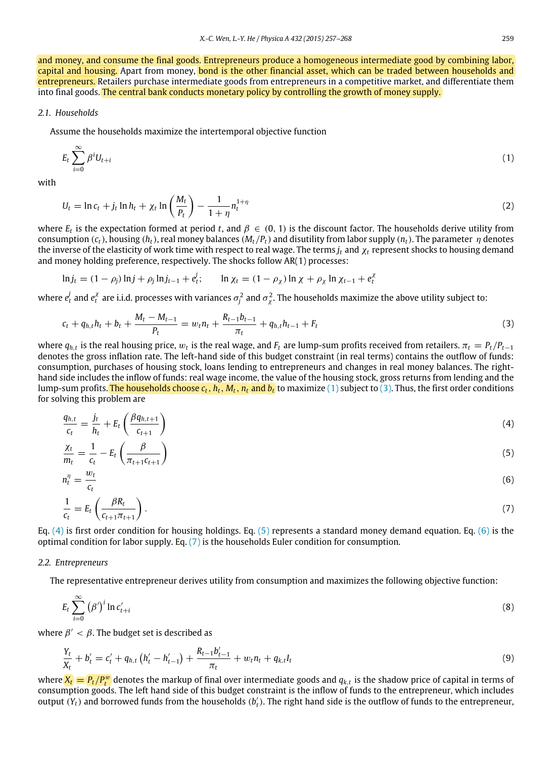and money, and consume the final goods. Entrepreneurs produce a homogeneous intermediate good by combining labor, capital and housing. Apart from money, bond is the other financial asset, which can be traded between households and entrepreneurs. Retailers purchase intermediate goods from entrepreneurs in a competitive market, and differentiate them into final goods. The central bank conducts monetary policy by controlling the growth of money supply.

## *2.1. Households*

Assume the households maximize the intertemporal objective function

<span id="page-2-0"></span>
$$
E_t \sum_{i=0}^{\infty} \beta^i U_{t+i}
$$
 (1)

with

$$
U_t = \ln c_t + j_t \ln h_t + \chi_t \ln \left( \frac{M_t}{P_t} \right) - \frac{1}{1 + \eta} n_t^{1 + \eta}
$$
\n
$$
\tag{2}
$$

where  $E_t$  is the expectation formed at period t, and  $\beta \in (0, 1)$  is the discount factor. The households derive utility from consumption  $(c_t)$ , housing  $(h_t)$ , real money balances  $(M_t/P_t)$  and disutility from labor supply  $(n_t)$ . The parameter  $\eta$  denotes the inverse of the elasticity of work time with respect to real wage. The terms  $j_t$  and  $\chi_t$  represent shocks to housing demand and money holding preference, respectively. The shocks follow AR(1) processes:

$$
\ln j_t = (1 - \rho_j) \ln j + \rho_j \ln j_{t-1} + e_t^j; \qquad \ln \chi_t = (1 - \rho_\chi) \ln \chi + \rho_\chi \ln \chi_{t-1} + e_t^{\chi}
$$

where  $e_t^j$  and  $e_t^{\chi}$  are i.i.d. processes with variances  $\sigma_j^2$  and  $\sigma_\chi^2$ . The households maximize the above utility subject to:

<span id="page-2-1"></span>
$$
c_{t} + q_{h,t}h_{t} + b_{t} + \frac{M_{t} - M_{t-1}}{P_{t}} = w_{t}n_{t} + \frac{R_{t-1}b_{t-1}}{\pi_{t}} + q_{h,t}h_{t-1} + F_{t}
$$
\n
$$
\tag{3}
$$

where  $q_{h,t}$  is the real housing price,  $w_t$  is the real wage, and  $F_t$  are lump-sum profits received from retailers.  $\pi_t = P_t/P_{t-1}$ denotes the gross inflation rate. The left-hand side of this budget constraint (in real terms) contains the outflow of funds: consumption, purchases of housing stock, loans lending to entrepreneurs and changes in real money balances. The righthand side includes the inflow of funds: real wage income, the value of the housing stock, gross returns from lending and the lump-sum profits. The households choose  $c_t$ ,  $h_t$ ,  $M_t$ ,  $n_t$  and  $b_t$  to maximize [\(1\)](#page-2-0) subject to [\(3\).](#page-2-1) Thus, the first order conditions for solving this problem are

<span id="page-2-2"></span>
$$
\frac{q_{h,t}}{c_t} = \frac{j_t}{h_t} + E_t \left( \frac{\beta q_{h,t+1}}{c_{t+1}} \right) \tag{4}
$$

<span id="page-2-3"></span>
$$
\frac{\chi_t}{m_t} = \frac{1}{c_t} - E_t \left( \frac{\beta}{\pi_{t+1} c_{t+1}} \right) \tag{5}
$$

$$
n_t^{\eta} = \frac{w_t}{c_t} \tag{6}
$$

<span id="page-2-5"></span><span id="page-2-4"></span>
$$
\frac{1}{c_t} = E_t \left( \frac{\beta R_t}{c_{t+1} \pi_{t+1}} \right). \tag{7}
$$

Eq. [\(4\)](#page-2-2) is first order condition for housing holdings. Eq. [\(5\)](#page-2-3) represents a standard money demand equation. Eq. [\(6\)](#page-2-4) is the optimal condition for labor supply. Eq.  $(7)$  is the households Euler condition for consumption.

#### *2.2. Entrepreneurs*

The representative entrepreneur derives utility from consumption and maximizes the following objective function:

<span id="page-2-6"></span>
$$
E_t \sum_{i=0}^{\infty} (\beta')^i \ln c'_{t+i} \tag{8}
$$

where  $\beta' < \beta$ . The budget set is described as

<span id="page-2-7"></span>
$$
\frac{Y_t}{X_t} + b'_t = c'_t + q_{h,t} \left( h'_t - h'_{t-1} \right) + \frac{R_{t-1}b'_{t-1}}{\pi_t} + w_t n_t + q_{k,t} l_t \tag{9}
$$

where  $X_t = P_t/P_t^w$  denotes the markup of final over intermediate goods and  $q_{k,t}$  is the shadow price of capital in terms of consumption goods. The left hand side of this budget constraint is the inflow of funds to the entrepreneur, which includes output  $(Y_t)$  and borrowed funds from the households  $(b'_t)$ . The right hand side is the outflow of funds to the entrepreneur,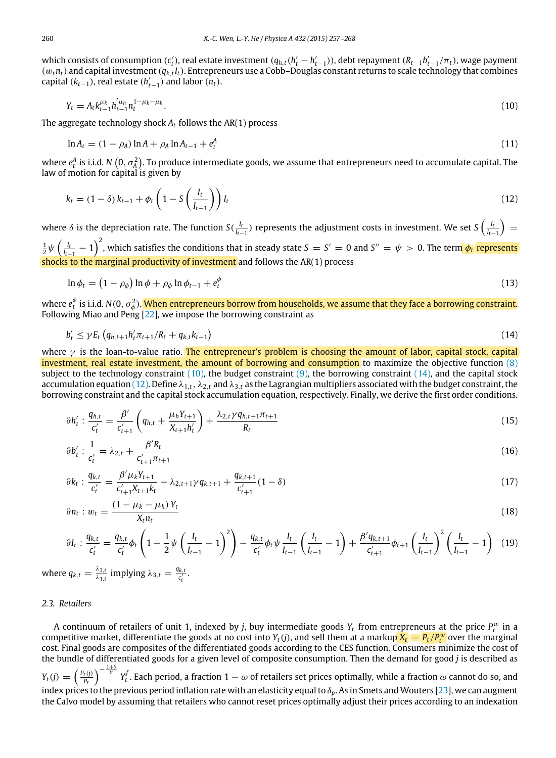which consists of consumption (c<sub>t</sub>), real estate investment ( $q_{h,t}(h'_t-h'_{t-1})$ ), debt repayment ( $R_{t-1}b'_{t-1}/\pi_t$ ), wage payment  $(w_t n_t)$  and capital investment  $(q_{k,t} I_t)$ . Entrepreneurs use a Cobb–Douglas constant returns to scale technology that combines capital  $(k_{t-1})$ , real estate  $(h'_{t-1})$  and labor  $(n_t)$ .

<span id="page-3-0"></span>
$$
Y_t = A_t k_{t-1}^{\mu_k} h_{t-1}^{'\mu_h} n_t^{1-\mu_k-\mu_h}.
$$
\n(10)

The aggregate technology shock *A<sup>t</sup>* follows the AR(1) process

$$
\ln A_t = (1 - \rho_A) \ln A + \rho_A \ln A_{t-1} + e_t^A
$$
\n(11)

where  $e_t^A$  is i.i.d. *N*  $(0,\sigma_A^2)$ . To produce intermediate goods, we assume that entrepreneurs need to accumulate capital. The law of motion for capital is given by

<span id="page-3-2"></span>
$$
k_t = (1 - \delta) k_{t-1} + \phi_t \left( 1 - S \left( \frac{I_t}{I_{t-1}} \right) \right) I_t \tag{12}
$$

where  $\delta$  is the depreciation rate. The function  $S(\frac{l_t}{l_{t-1}})$  represents the adjustment costs in investment. We set  $S(\frac{l_t}{l_{t-1}})=$  $\frac{1}{2}\psi\left(\frac{l_t}{l_{t-1}}-1\right)^2$ , which satisfies the conditions that in steady state  $S=S'=0$  and  $S''=\psi>0.$  The term  $\phi_t$  represents shocks to the marginal productivity of investment and follows the AR(1) process

$$
\ln \phi_t = \left(1 - \rho_\phi\right) \ln \phi + \rho_\phi \ln \phi_{t-1} + e_t^\phi \tag{13}
$$

where  $e_t^\phi$  is i.i.d.  $N(0,\,\sigma_\phi^2).$  <mark>When entrepreneurs borrow from households, we assume that they face a borrowing constraint.</mark> Following Miao and Peng [\[22\]](#page-11-5), we impose the borrowing constraint as

<span id="page-3-1"></span>
$$
b'_{t} \leq \gamma E_{t} \left( q_{h,t+1} h'_{t} \pi_{t+1} / R_{t} + q_{k,t} k_{t-1} \right) \tag{14}
$$

where  $\gamma$  is the loan-to-value ratio. The entrepreneur's problem is choosing the amount of labor, capital stock, capital investment, real estate investment, the amount of borrowing and consumption to maximize the objective function [\(8\)](#page-2-6) subject to the technology constraint  $(10)$ , the budget constraint  $(9)$ , the borrowing constraint  $(14)$ , and the capital stock accumulation equation [\(12\).](#page-3-2) Define  $\lambda_{1,t}$ ,  $\lambda_{2,t}$  and  $\lambda_{3,t}$  as the Lagrangian multipliers associated with the budget constraint, the borrowing constraint and the capital stock accumulation equation, respectively. Finally, we derive the first order conditions.

$$
\partial h'_t : \frac{q_{h,t}}{c'_t} = \frac{\beta'}{c'_{t+1}} \left( q_{h,t} + \frac{\mu_h Y_{t+1}}{X_{t+1} h'_t} \right) + \frac{\lambda_{2,t} \gamma q_{h,t+1} \pi_{t+1}}{R_t}
$$
(15)

$$
\partial b'_{t} : \frac{1}{c'_{t}} = \lambda_{2,t} + \frac{\beta' R_{t}}{c'_{t+1} \pi_{t+1}}
$$
(16)

$$
\partial k_t : \frac{q_{k,t}}{c'_t} = \frac{\beta' \mu_k Y_{t+1}}{c'_{t+1} X_{t+1} k_t} + \lambda_{2,t+1} \gamma q_{k,t+1} + \frac{q_{k,t+1}}{c'_{t+1}} (1 - \delta) \tag{17}
$$

$$
\partial n_t : w_t = \frac{(1 - \mu_k - \mu_h) Y_t}{X_t n_t} \tag{18}
$$

$$
\partial I_t: \frac{q_{k,t}}{c'_t} = \frac{q_{k,t}}{c'_t} \phi_t \left(1 - \frac{1}{2} \psi \left(\frac{I_t}{I_{t-1}} - 1\right)^2\right) - \frac{q_{k,t}}{c'_t} \phi_t \psi \frac{I_t}{I_{t-1}} \left(\frac{I_t}{I_{t-1}} - 1\right) + \frac{\beta' q_{k,t+1}}{c'_{t+1}} \phi_{t+1} \left(\frac{I_t}{I_{t-1}}\right)^2 \left(\frac{I_t}{I_{t-1}} - 1\right) \tag{19}
$$

where  $q_{k,t} = \frac{\lambda_{3,t}}{\lambda_{1,t}}$  $\frac{\lambda_{3,t}}{\lambda_{1,t}}$  implying  $\lambda_{3,t} = \frac{q_{k,t}}{c'_t}$ .

#### *2.3. Retailers*

A continuum of retailers of unit 1, indexed by *j*, buy intermediate goods  $Y_t$  from entrepreneurs at the price  $P_t^w$  in a competitive market, differentiate the goods at no cost into  $Y_t(j)$ , and sell them at a markup  $X_t = P_t/P_t^w$  over the marginal cost. Final goods are composites of the differentiated goods according to the CES function. Consumers minimize the cost of the bundle of differentiated goods for a given level of composite consumption. Then the demand for good *j* is described as  $Y_t(j) = \left(\frac{P_t(j)}{P_t}\right)^{-\frac{1+\theta}{\theta}} Y_t^f$ . Each period, a fraction 1 − ω of retailers set prices optimally, while a fraction ω cannot do so, and index prices to the previous period inflation rate with an elasticity equal to δ*p*. As in Smets and Wouters [\[23\]](#page-11-6), we can augment the Calvo model by assuming that retailers who cannot reset prices optimally adjust their prices according to an indexation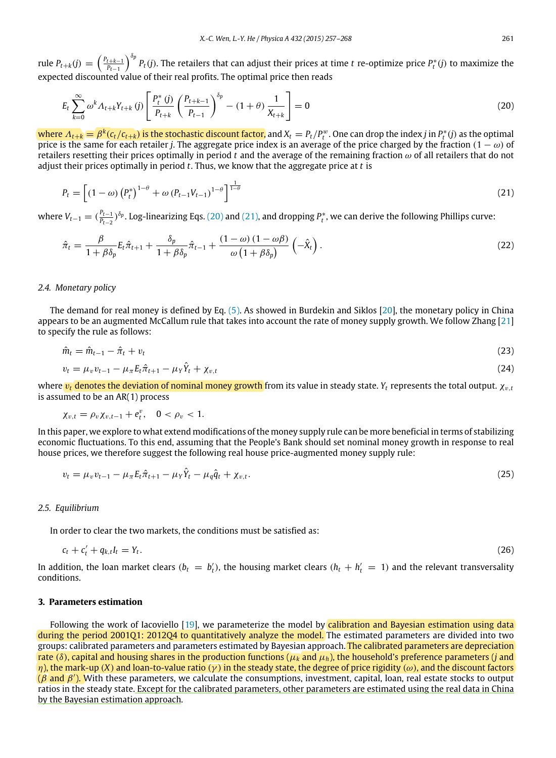rule  $P_{t+k}(j) = \left(\frac{P_{t+k-1}}{P_{t-1}}\right)$ *P*<sup>t−1</sup>  $\bigcap_{t=1}^{\delta_p}P_t(j).$  The retailers that can adjust their prices at time *t* re-optimize price  $P_t^*(j)$  to maximize the expected discounted value of their real profits. The optimal price then reads

<span id="page-4-1"></span>
$$
E_{t} \sum_{k=0}^{\infty} \omega^{k} \Lambda_{t+k} Y_{t+k} (j) \left[ \frac{P_{t}^{*} (j)}{P_{t+k}} \left( \frac{P_{t+k-1}}{P_{t-1}} \right)^{\delta_{p}} - (1+\theta) \frac{1}{X_{t+k}} \right] = 0
$$
\n(20)

where  $A_{t+k} = \beta^k (c_t/c_{t+k})$  is the stochastic discount factor, and  $X_t = P_t/P_t^w$ . One can drop the index j in  $P_t^*(j)$  as the optimal price is the same for each retailer *j*. The aggregate price index is an average of the price charged by the fraction  $(1 - \omega)$  of retailers resetting their prices optimally in period *t* and the average of the remaining fraction ω of all retailers that do not adjust their prices optimally in period *t*. Thus, we know that the aggregate price at *t* is

<span id="page-4-2"></span>
$$
P_t = \left[ (1 - \omega) \left( P_t^* \right)^{1 - \theta} + \omega \left( P_{t-1} V_{t-1} \right)^{1 - \theta} \right]^{\frac{1}{1 - \theta}}
$$
\n(21)

where  $V_{t-1} = (\frac{P_{t-1}}{P_{t-2}})$ *P*<sup>*t*</sup>−2</sub>) <sup>δ</sup>p. Log-linearizing Eqs. [\(20\)](#page-4-1) and [\(21\),](#page-4-2) and dropping *P*\*, we can derive the following Phillips curve:

$$
\hat{\pi}_t = \frac{\beta}{1 + \beta \delta_p} E_t \hat{\pi}_{t+1} + \frac{\delta_p}{1 + \beta \delta_p} \hat{\pi}_{t-1} + \frac{(1 - \omega) (1 - \omega \beta)}{\omega (1 + \beta \delta_p)} \left( -\hat{X}_t \right).
$$
\n(22)

## *2.4. Monetary policy*

The demand for real money is defined by Eq. [\(5\).](#page-2-3) As showed in Burdekin and Siklos [\[20\]](#page-11-3), the monetary policy in China appears to be an augmented McCallum rule that takes into account the rate of money supply growth. We follow Zhang [\[21\]](#page-11-4) to specify the rule as follows:

$$
\hat{m}_t = \hat{m}_{t-1} - \hat{\pi}_t + v_t \tag{23}
$$

$$
v_t = \mu_v v_{t-1} - \mu_\pi E_t \hat{\pi}_{t+1} - \mu_Y \hat{Y}_t + \chi_{v,t}
$$
\n(24)

where v*<sup>t</sup>* denotes the deviation of nominal money growth from its value in steady state. *Y<sup>t</sup>* represents the total output. χv,*<sup>t</sup>* is assumed to be an AR(1) process

$$
\chi_{v,t} = \rho_v \chi_{v,t-1} + e_t^v, \quad 0 < \rho_v < 1.
$$

In this paper, we explore to what extend modifications of the money supply rule can be more beneficial in terms of stabilizing economic fluctuations. To this end, assuming that the People's Bank should set nominal money growth in response to real house prices, we therefore suggest the following real house price-augmented money supply rule:

<span id="page-4-3"></span>
$$
v_t = \mu_v v_{t-1} - \mu_\pi E_t \hat{\pi}_{t+1} - \mu_Y \hat{Y}_t - \mu_q \hat{q}_t + \chi_{v,t}.
$$
\n(25)

## *2.5. Equilibrium*

In order to clear the two markets, the conditions must be satisfied as:

$$
c_t + c'_t + q_{k,t}I_t = Y_t. \tag{26}
$$

In addition, the loan market clears ( $b_t = b'_t$ ), the housing market clears ( $h_t + h'_t = 1$ ) and the relevant transversality conditions.

## <span id="page-4-0"></span>**3. Parameters estimation**

Following the work of Iacoviello [\[19\]](#page-11-2), we parameterize the model by calibration and Bayesian estimation using data during the period 2001Q1: 2012Q4 to quantitatively analyze the model. The estimated parameters are divided into two groups: calibrated parameters and parameters estimated by Bayesian approach. The calibrated parameters are depreciation rate ( $\delta$ ), capital and housing shares in the production functions ( $\mu_k$  and  $\mu_h$ ), the household's preference parameters (*j* and  $η$ ), the mark-up (*X*) and loan-to-value ratio (γ) in the steady state, the degree of price rigidity (ω), and the discount factors  $(\beta \text{ and } \beta')$ . With these parameters, we calculate the consumptions, investment, capital, loan, real estate stocks to output ratios in the steady state. Except for the calibrated parameters, other parameters are estimated using the real data in China by the Bayesian estimation approach.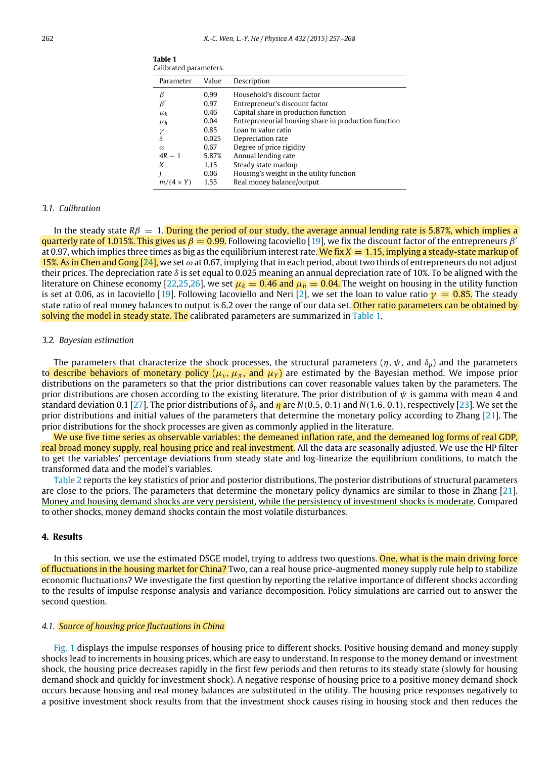| Parameter        | Value | Description                                          |
|------------------|-------|------------------------------------------------------|
| β                | 0.99  | Household's discount factor                          |
| $\beta$          | 0.97  | Entrepreneur's discount factor                       |
| $\mu_k$          | 0.46  | Capital share in production function                 |
| $\mu_h$          | 0.04  | Entrepreneurial housing share in production function |
| γ                | 0.85  | Loan to value ratio                                  |
| δ                | 0.025 | Depreciation rate                                    |
| $\omega$         | 0.67  | Degree of price rigidity                             |
| $4R-1$           | 5.87% | Annual lending rate                                  |
| X                | 1.15  | Steady state markup                                  |
|                  | 0.06  | Housing's weight in the utility function             |
| $m/(4 \times Y)$ | 1.55  | Real money balance/output                            |
|                  |       |                                                      |

<span id="page-5-1"></span>**Table 1** Calibrated parameters.

## *3.1. Calibration*

In the steady state  $R\beta = 1$ . During the period of our study, the average annual lending rate is 5.87%, which implies a quarterly rate of 1.015%. This gives us  $\beta = 0.99$ . Following Iacoviello [\[19\]](#page-11-2), we fix the discount factor of the entrepreneurs  $\beta$ at 0.97, which implies three times as big as the equilibrium interest rate. We fix  $X = 1.15$ , implying a steady-state markup of 15%. As in Chen and Gong  $[24]$ , we set  $\omega$  at 0.67, implying that in each period, about two thirds of entrepreneurs do not adjust their prices. The depreciation rate  $\delta$  is set equal to 0.025 meaning an annual depreciation rate of 10%. To be aligned with the literature on Chinese economy [\[22](#page-11-5)[,25,](#page-11-8)[26\]](#page-11-9), we set  $\mu_k = 0.46$  and  $\mu_h = 0.04$ . The weight on housing in the utility function is set at 0.06, as in Iacoviello [\[19\]](#page-11-2). Following Iacoviello and Neri [\[2\]](#page-10-1), we set the loan to value ratio  $\gamma = 0.85$ . The steady state ratio of real money balances to output is 6.2 over the range of our data set. Other ratio parameters can be obtained by solving the model in steady state. The calibrated parameters are summarized in [Table 1.](#page-5-1)

## *3.2. Bayesian estimation*

The parameters that characterize the shock processes, the structural parameters ( $\eta$ ,  $\psi$ , and  $\delta_p$ ) and the parameters to describe behaviors of monetary policy ( $\mu_v$ ,  $\mu_\pi$ , and  $\mu_Y$ ) are estimated by the Bayesian method. We impose prior distributions on the parameters so that the prior distributions can cover reasonable values taken by the parameters. The prior distributions are chosen according to the existing literature. The prior distribution of  $\psi$  is gamma with mean 4 and standard deviation 0.1 [\[27\]](#page-11-10). The prior distributions of δ*<sup>p</sup>* and η are *N*(0.5, 0.1) and *N*(1.6, 0.1), respectively [\[23\]](#page-11-6). We set the prior distributions and initial values of the parameters that determine the monetary policy according to Zhang [\[21\]](#page-11-4). The prior distributions for the shock processes are given as commonly applied in the literature.

We use five time series as observable variables: the demeaned inflation rate, and the demeaned log forms of real GDP, real broad money supply, real housing price and real investment. All the data are seasonally adjusted. We use the HP filter to get the variables' percentage deviations from steady state and log-linearize the equilibrium conditions, to match the transformed data and the model's variables.

[Table 2](#page-6-0) reports the key statistics of prior and posterior distributions. The posterior distributions of structural parameters are close to the priors. The parameters that determine the monetary policy dynamics are similar to those in Zhang [\[21\]](#page-11-4). Money and housing demand shocks are very persistent, while the persistency of investment shocks is moderate. Compared to other shocks, money demand shocks contain the most volatile disturbances.

## <span id="page-5-0"></span>**4. Results**

In this section, we use the estimated DSGE model, trying to address two questions. One, what is the main driving force of fluctuations in the housing market for China? Two, can a real house price-augmented money supply rule help to stabilize economic fluctuations? We investigate the first question by reporting the relative importance of different shocks according to the results of impulse response analysis and variance decomposition. Policy simulations are carried out to answer the second question.

#### *4.1. Source of housing price fluctuations in China*

[Fig. 1](#page-6-1) displays the impulse responses of housing price to different shocks. Positive housing demand and money supply shocks lead to increments in housing prices, which are easy to understand. In response to the money demand or investment shock, the housing price decreases rapidly in the first few periods and then returns to its steady state (slowly for housing demand shock and quickly for investment shock). A negative response of housing price to a positive money demand shock occurs because housing and real money balances are substituted in the utility. The housing price responses negatively to a positive investment shock results from that the investment shock causes rising in housing stock and then reduces the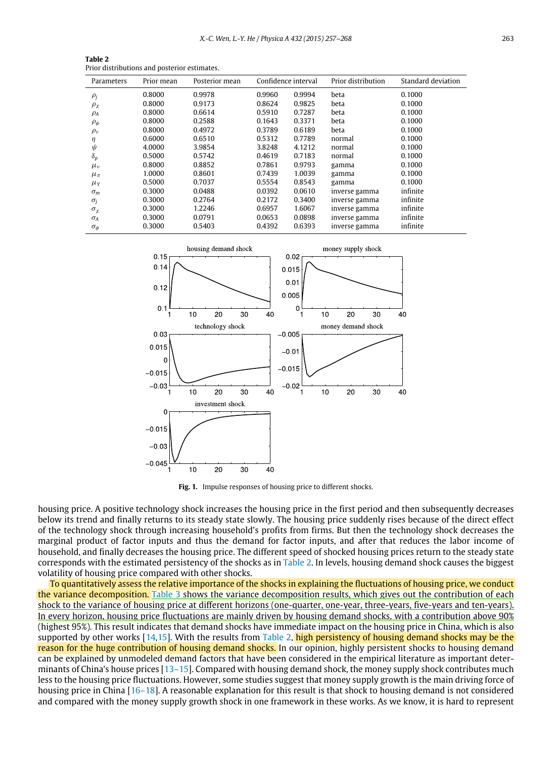| Parameters      | Prior mean | Posterior mean |        | Confidence interval | Prior distribution | Standard deviation |
|-----------------|------------|----------------|--------|---------------------|--------------------|--------------------|
| $\rho_j$        | 0.8000     | 0.9978         | 0.9960 | 0.9994              | beta               | 0.1000             |
| $\rho_{\chi}$   | 0.8000     | 0.9173         | 0.8624 | 0.9825              | beta               | 0.1000             |
| $\rho_A$        | 0.8000     | 0.6614         | 0.5910 | 0.7287              | beta               | 0.1000             |
| $\rho_{\phi}$   | 0.8000     | 0.2588         | 0.1643 | 0.3371              | beta               | 0.1000             |
| $\rho_v$        | 0.8000     | 0.4972         | 0.3789 | 0.6189              | beta               | 0.1000             |
| η               | 0.6000     | 0.6510         | 0.5312 | 0.7789              | normal             | 0.1000             |
| $\psi$          | 4.0000     | 3.9854         | 3.8248 | 4.1212              | normal             | 0.1000             |
| $\delta_p$      | 0.5000     | 0.5742         | 0.4619 | 0.7183              | normal             | 0.1000             |
| $\mu_v$         | 0.8000     | 0.8852         | 0.7861 | 0.9793              | gamma              | 0.1000             |
| $\mu_{\pi}$     | 1.0000     | 0.8601         | 0.7439 | 1.0039              | gamma              | 0.1000             |
| $\mu_Y$         | 0.5000     | 0.7037         | 0.5554 | 0.8543              | gamma              | 0.1000             |
| $\sigma_m$      | 0.3000     | 0.0488         | 0.0392 | 0.0610              | inverse gamma      | infinite           |
| $\sigma_i$      | 0.3000     | 0.2764         | 0.2172 | 0.3400              | inverse gamma      | infinite           |
| $\sigma_{\chi}$ | 0.3000     | 1.2246         | 0.6957 | 1.6067              | inverse gamma      | infinite           |
| $\sigma_A$      | 0.3000     | 0.0791         | 0.0653 | 0.0898              | inverse gamma      | infinite           |
| $\sigma_{\phi}$ | 0.3000     | 0.5403         | 0.4392 | 0.6393              | inverse gamma      | infinite           |
|                 |            |                |        |                     |                    |                    |

<span id="page-6-0"></span>**Table 2** Prior distributions and posterior estimates.

<span id="page-6-1"></span>

**Fig. 1.** Impulse responses of housing price to different shocks.

housing price. A positive technology shock increases the housing price in the first period and then subsequently decreases below its trend and finally returns to its steady state slowly. The housing price suddenly rises because of the direct effect of the technology shock through increasing household's profits from firms. But then the technology shock decreases the marginal product of factor inputs and thus the demand for factor inputs, and after that reduces the labor income of household, and finally decreases the housing price. The different speed of shocked housing prices return to the steady state corresponds with the estimated persistency of the shocks as in [Table 2.](#page-6-0) In levels, housing demand shock causes the biggest volatility of housing price compared with other shocks.

To quantitatively assess the relative importance of the shocks in explaining the fluctuations of housing price, we conduct the variance decomposition. [Table 3](#page-7-0) shows the variance decomposition results, which gives out the contribution of each shock to the variance of housing price at different horizons (one-quarter, one-year, three-years, five-years and ten-years). In every horizon, housing price fluctuations are mainly driven by housing demand shocks, with a contribution above 90% (highest 95%). This result indicates that demand shocks have immediate impact on the housing price in China, which is also supported by other works  $[14,15]$  $[14,15]$ . With the results from [Table 2,](#page-6-0) high persistency of housing demand shocks may be the reason for the huge contribution of housing demand shocks. In our opinion, highly persistent shocks to housing demand can be explained by unmodeled demand factors that have been considered in the empirical literature as important determinants of China's house prices [\[13–15\]](#page-10-12). Compared with housing demand shock, the money supply shock contributes much less to the housing price fluctuations. However, some studies suggest that money supply growth is the main driving force of housing price in China [\[16–18\]](#page-10-15). A reasonable explanation for this result is that shock to housing demand is not considered and compared with the money supply growth shock in one framework in these works. As we know, it is hard to represent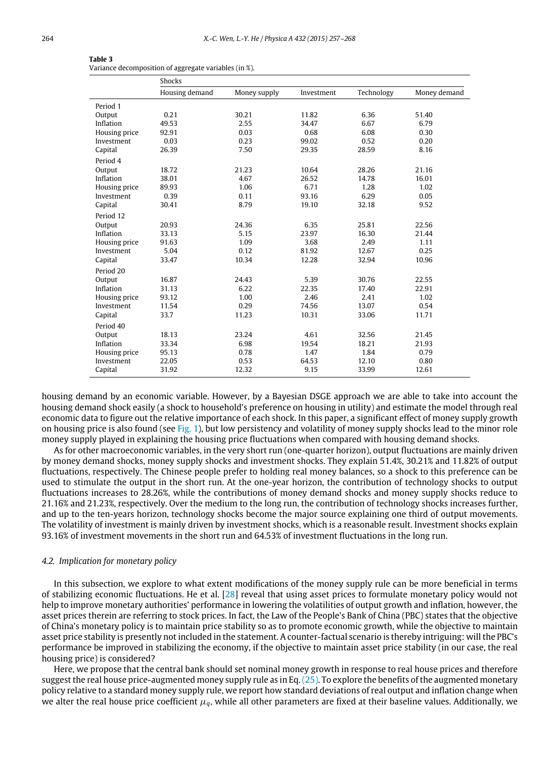| $\sim$ |  |
|--------|--|
|        |  |

|               | Shocks         |              |            |            |              |
|---------------|----------------|--------------|------------|------------|--------------|
|               | Housing demand | Money supply | Investment | Technology | Money demand |
| Period 1      |                |              |            |            |              |
| Output        | 0.21           | 30.21        | 11.82      | 6.36       | 51.40        |
| Inflation     | 49.53          | 2.55         | 34.47      | 6.67       | 6.79         |
| Housing price | 92.91          | 0.03         | 0.68       | 6.08       | 0.30         |
| Investment    | 0.03           | 0.23         | 99.02      | 0.52       | 0.20         |
| Capital       | 26.39          | 7.50         | 29.35      | 28.59      | 8.16         |
| Period 4      |                |              |            |            |              |
| Output        | 18.72          | 21.23        | 10.64      | 28.26      | 21.16        |
| Inflation     | 38.01          | 4.67         | 26.52      | 14.78      | 16.01        |
| Housing price | 89.93          | 1.06         | 6.71       | 1.28       | 1.02         |
| Investment    | 0.39           | 0.11         | 93.16      | 6.29       | 0.05         |
| Capital       | 30.41          | 8.79         | 19.10      | 32.18      | 9.52         |
| Period 12     |                |              |            |            |              |
| Output        | 20.93          | 24.36        | 6.35       | 25.81      | 22.56        |
| Inflation     | 33.13          | 5.15         | 23.97      | 16.30      | 21.44        |
| Housing price | 91.63          | 1.09         | 3.68       | 2.49       | 1.11         |
| Investment    | 5.04           | 0.12         | 81.92      | 12.67      | 0.25         |
| Capital       | 33.47          | 10.34        | 12.28      | 32.94      | 10.96        |
| Period 20     |                |              |            |            |              |
| Output        | 16.87          | 24.43        | 5.39       | 30.76      | 22.55        |
| Inflation     | 31.13          | 6.22         | 22.35      | 17.40      | 22.91        |
| Housing price | 93.12          | 1.00         | 2.46       | 2.41       | 1.02         |
| Investment    | 11.54          | 0.29         | 74.56      | 13.07      | 0.54         |
| Capital       | 33.7           | 11.23        | 10.31      | 33.06      | 11.71        |
| Period 40     |                |              |            |            |              |
| Output        | 18.13          | 23.24        | 4.61       | 32.56      | 21.45        |
| Inflation     | 33.34          | 6.98         | 19.54      | 18.21      | 21.93        |
| Housing price | 95.13          | 0.78         | 1.47       | 1.84       | 0.79         |
| Investment    | 22.05          | 0.53         | 64.53      | 12.10      | 0.80         |
| Capital       | 31.92          | 12.32        | 9.15       | 33.99      | 12.61        |

<span id="page-7-0"></span>

| Table 3                                               |  |
|-------------------------------------------------------|--|
| Variance decomposition of aggregate variables (in %). |  |

housing demand by an economic variable. However, by a Bayesian DSGE approach we are able to take into account the housing demand shock easily (a shock to household's preference on housing in utility) and estimate the model through real economic data to figure out the relative importance of each shock. In this paper, a significant effect of money supply growth on housing price is also found (see [Fig. 1\)](#page-6-1), but low persistency and volatility of money supply shocks lead to the minor role money supply played in explaining the housing price fluctuations when compared with housing demand shocks.

As for other macroeconomic variables, in the very short run (one-quarter horizon), output fluctuations are mainly driven by money demand shocks, money supply shocks and investment shocks. They explain 51.4%, 30.21% and 11.82% of output fluctuations, respectively. The Chinese people prefer to holding real money balances, so a shock to this preference can be used to stimulate the output in the short run. At the one-year horizon, the contribution of technology shocks to output fluctuations increases to 28.26%, while the contributions of money demand shocks and money supply shocks reduce to 21.16% and 21.23%, respectively. Over the medium to the long run, the contribution of technology shocks increases further, and up to the ten-years horizon, technology shocks become the major source explaining one third of output movements. The volatility of investment is mainly driven by investment shocks, which is a reasonable result. Investment shocks explain 93.16% of investment movements in the short run and 64.53% of investment fluctuations in the long run.

## *4.2. Implication for monetary policy*

In this subsection, we explore to what extent modifications of the money supply rule can be more beneficial in terms of stabilizing economic fluctuations. He et al. [\[28\]](#page-11-11) reveal that using asset prices to formulate monetary policy would not help to improve monetary authorities' performance in lowering the volatilities of output growth and inflation, however, the asset prices therein are referring to stock prices. In fact, the Law of the People's Bank of China (PBC) states that the objective of China's monetary policy is to maintain price stability so as to promote economic growth, while the objective to maintain asset price stability is presently not included in the statement. A counter-factual scenario is thereby intriguing: will the PBC's performance be improved in stabilizing the economy, if the objective to maintain asset price stability (in our case, the real housing price) is considered?

Here, we propose that the central bank should set nominal money growth in response to real house prices and therefore suggest the real house price-augmented money supply rule as in Eq.[\(25\).](#page-4-3) To explore the benefits of the augmented monetary policy relative to a standard money supply rule, we report how standard deviations of real output and inflation change when we alter the real house price coefficient  $\mu_q$ , while all other parameters are fixed at their baseline values. Additionally, we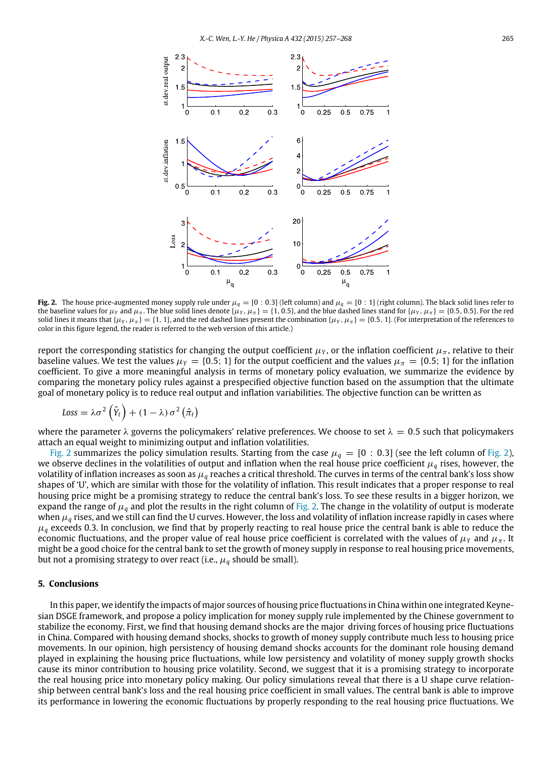<span id="page-8-1"></span>

**Fig. 2.** The house price-augmented money supply rule under  $\mu_q = [0:0.3]$  (left column) and  $\mu_q = [0:1]$  (right column). The black solid lines refer to the baseline values for  $\mu_Y$  and  $\mu_{\pi}$ . The blue solid lines denote { $\mu_Y$ ,  $\mu_{\pi}$ } = {1, 0.5}, and the blue dashed lines stand for { $\mu_Y$ ,  $\mu_{\pi}$ } = {0.5, 0.5}. For the red solid lines it means that { $\mu_Y$ ,  $\mu_{\pi}$ } = {1, 1}, and the red dashed lines present the combination { $\mu_Y$ ,  $\mu_{\pi}$ } = {0.5, 1}. (For interpretation of the references to color in this figure legend, the reader is referred to the web version of this article.)

report the corresponding statistics for changing the output coefficient  $\mu_Y$ , or the inflation coefficient  $\mu_{\pi}$ , relative to their baseline values. We test the values  $\mu_Y = \{0.5; 1\}$  for the output coefficient and the values  $\mu_\pi = \{0.5; 1\}$  for the inflation coefficient. To give a more meaningful analysis in terms of monetary policy evaluation, we summarize the evidence by comparing the monetary policy rules against a prespecified objective function based on the assumption that the ultimate goal of monetary policy is to reduce real output and inflation variabilities. The objective function can be written as

$$
Loss = \lambda \sigma^2 (\hat{Y}_t) + (1 - \lambda) \sigma^2 (\hat{\pi}_t)
$$

where the parameter  $\lambda$  governs the policymakers' relative preferences. We choose to set  $\lambda = 0.5$  such that policymakers attach an equal weight to minimizing output and inflation volatilities.

[Fig. 2](#page-8-1) summarizes the policy simulation results. Starting from the case  $\mu_q = [0: 0.3]$  (see the left column of [Fig. 2\)](#page-8-1), we observe declines in the volatilities of output and inflation when the real house price coefficient  $\mu_q$  rises, however, the volatility of inflation increases as soon as µ*<sup>q</sup>* reaches a critical threshold. The curves in terms of the central bank's loss show shapes of 'U', which are similar with those for the volatility of inflation. This result indicates that a proper response to real housing price might be a promising strategy to reduce the central bank's loss. To see these results in a bigger horizon, we expand the range of  $\mu_q$  and plot the results in the right column of [Fig. 2.](#page-8-1) The change in the volatility of output is moderate when  $\mu_q$  rises, and we still can find the U curves. However, the loss and volatility of inflation increase rapidly in cases where  $\mu_q$  exceeds 0.3. In conclusion, we find that by properly reacting to real house price the central bank is able to reduce the economic fluctuations, and the proper value of real house price coefficient is correlated with the values of  $\mu_Y$  and  $\mu_\pi$ . It might be a good choice for the central bank to set the growth of money supply in response to real housing price movements, but not a promising strategy to over react (i.e.,  $\mu_q$  should be small).

## <span id="page-8-0"></span>**5. Conclusions**

In this paper, we identify the impacts of major sources of housing price fluctuations in China within one integrated Keynesian DSGE framework, and propose a policy implication for money supply rule implemented by the Chinese government to stabilize the economy. First, we find that housing demand shocks are the major driving forces of housing price fluctuations in China. Compared with housing demand shocks, shocks to growth of money supply contribute much less to housing price movements. In our opinion, high persistency of housing demand shocks accounts for the dominant role housing demand played in explaining the housing price fluctuations, while low persistency and volatility of money supply growth shocks cause its minor contribution to housing price volatility. Second, we suggest that it is a promising strategy to incorporate the real housing price into monetary policy making. Our policy simulations reveal that there is a U shape curve relationship between central bank's loss and the real housing price coefficient in small values. The central bank is able to improve its performance in lowering the economic fluctuations by properly responding to the real housing price fluctuations. We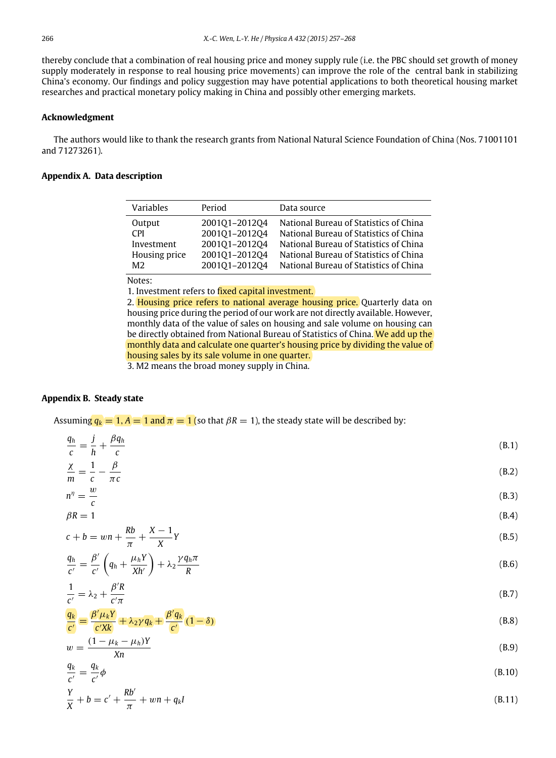thereby conclude that a combination of real housing price and money supply rule (i.e. the PBC should set growth of money supply moderately in response to real housing price movements) can improve the role of the central bank in stabilizing China's economy. Our findings and policy suggestion may have potential applications to both theoretical housing market researches and practical monetary policy making in China and possibly other emerging markets.

## **Acknowledgment**

The authors would like to thank the research grants from National Natural Science Foundation of China (Nos. 71001101 and 71273261).

## **Appendix A. Data description**

| Variables      | Period        | Data source                            |
|----------------|---------------|----------------------------------------|
| Output         | 200101-201204 | National Bureau of Statistics of China |
| <b>CPI</b>     | 200101-201204 | National Bureau of Statistics of China |
| Investment     | 200101-201204 | National Bureau of Statistics of China |
| Housing price  | 200101-201204 | National Bureau of Statistics of China |
| M <sub>2</sub> | 200101-201204 | National Bureau of Statistics of China |

Notes:

1. Investment refers to fixed capital investment.

2. Housing price refers to national average housing price. Quarterly data on housing price during the period of our work are not directly available. However, monthly data of the value of sales on housing and sale volume on housing can be directly obtained from National Bureau of Statistics of China. We add up the monthly data and calculate one quarter's housing price by dividing the value of housing sales by its sale volume in one quarter.

<span id="page-9-7"></span><span id="page-9-6"></span><span id="page-9-4"></span><span id="page-9-1"></span>3. M2 means the broad money supply in China.

## **Appendix B. Steady state**

Assuming  $q_k = 1$ ,  $A = 1$  and  $\pi = 1$  (so that  $\beta R = 1$ ), the steady state will be described by:

|                  | $\frac{q_h}{c} = \frac{j}{h} + \frac{\beta q_h}{c}$ | (B.1) |
|------------------|-----------------------------------------------------|-------|
| $\chi$ 1 $\beta$ |                                                     | (B.2) |

$$
\frac{\lambda}{m} = \frac{1}{c} - \frac{\rho}{\pi c}
$$
(B.2)  

$$
n^{\eta} = \frac{w}{}
$$
(B.3)

$$
\beta R = 1
$$
\n
$$
Rb \quad X - 1 \tag{B.4}
$$

$$
c + b = w\left(\frac{w}{\pi} + \frac{w}{X}\right)Y
$$
\n(B.5)

$$
\frac{q_h}{c'} = \frac{\beta'}{c'} \left( q_h + \frac{\mu_h Y}{X h'} \right) + \lambda_2 \frac{\gamma q_h \pi}{R}
$$
\n(B.6)

<span id="page-9-2"></span>
$$
\frac{1}{c'} = \lambda_2 + \frac{\beta' R}{c' \pi} \tag{B.7}
$$

$$
\frac{q_k}{c'} = \frac{\beta'\mu_k Y}{c'Xk} + \lambda_2 \gamma q_k + \frac{\beta' q_k}{c'} (1 - \delta)
$$
\n(B.8)

$$
w = \frac{(1 - \mu_k - \mu_h)Y}{Xn}
$$
(B.9)

<span id="page-9-5"></span><span id="page-9-3"></span><span id="page-9-0"></span>
$$
\frac{q_k}{c'} = \frac{q_k}{c'}\phi \tag{B.10}
$$

$$
\frac{Y}{X} + b = c' + \frac{Rb'}{\pi} + wn + q_k I
$$
\n(B.11)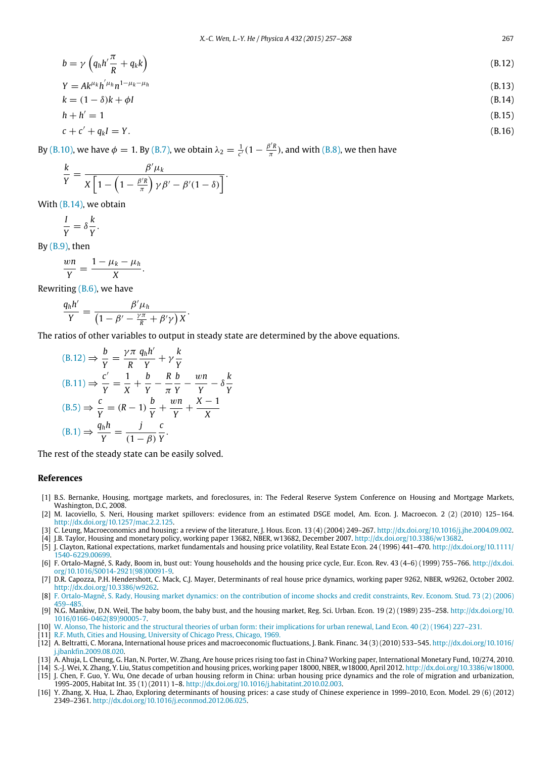$$
b = \gamma \left( q_h h' \frac{\pi}{R} + q_k k \right)
$$
\n
$$
Y = Ak^{\mu_k} h^{\mu_k} n^{1-\mu_k-\mu_h}
$$
\n
$$
k = (1 - \delta)k + \phi I
$$
\n
$$
h + h' = 1
$$
\n(B.13)\n
$$
(B.14)
$$
\n
$$
(B.14)
$$

$$
c + c' + q_k I = Y. \tag{B.16}
$$

By [\(B.10\),](#page-9-0) we have  $\phi = 1$ . By [\(B.7\),](#page-9-1) we obtain  $\lambda_2 = \frac{1}{c'}(1 - \frac{\beta' R}{\pi})$  $\frac{3\pi}{\pi}$ ), and with [\(B.8\),](#page-9-2) we then have

$$
\frac{k}{Y} = \frac{\beta'\mu_k}{X\left[1-\left(1-\frac{\beta' R}{\pi}\right)\gamma\beta' - \beta'(1-\delta)\right]}.
$$

With [\(B.14\),](#page-10-16) we obtain

$$
\frac{I}{Y} = \delta \frac{k}{Y}.
$$

By  $(B.9)$ , then

$$
\frac{wn}{Y}=\frac{1-\mu_k-\mu_h}{X}.
$$

Rewriting  $(B.6)$ , we have

$$
\frac{q_h h'}{Y} = \frac{\beta' \mu_h}{\left(1 - \beta' - \frac{\gamma \pi}{R} + \beta' \gamma\right) X}
$$

The ratios of other variables to output in steady state are determined by the above equations.

<span id="page-10-17"></span><span id="page-10-16"></span>.

$$
(B.12) \Rightarrow \frac{b}{Y} = \frac{\gamma \pi}{R} \frac{q_h h'}{Y} + \gamma \frac{k}{Y}
$$
  
\n
$$
(B.11) \Rightarrow \frac{c'}{Y} = \frac{1}{X} + \frac{b}{Y} - \frac{R}{\pi} \frac{b}{Y} - \frac{wn}{Y} - \delta \frac{k}{Y}
$$
  
\n
$$
(B.5) \Rightarrow \frac{c}{Y} = (R - 1) \frac{b}{Y} + \frac{wn}{Y} + \frac{X - 1}{X}
$$
  
\n
$$
(B.1) \Rightarrow \frac{q_h h}{Y} = \frac{j}{(1 - \beta)} \frac{c}{Y}.
$$

 $\sim$ 

The rest of the steady state can be easily solved.

## **References**

- <span id="page-10-0"></span>[1] B.S. Bernanke, Housing, mortgage markets, and foreclosures, in: The Federal Reserve System Conference on Housing and Mortgage Markets, Washington, D.C, 2008.
- <span id="page-10-1"></span>[2] M. Iacoviello, S. Neri, Housing market spillovers: evidence from an estimated DSGE model, Am. Econ. J. Macroecon. 2 (2) (2010) 125–164. [http://dx.doi.org/10.1257/mac.2.2.125.](http://dx.doi.org/10.1257/mac.2.2.125)
- <span id="page-10-2"></span>[3] C. Leung, Macroeconomics and housing: a review of the literature, J. Hous. Econ. 13 (4) (2004) 249–267. [http://dx.doi.org/10.1016/j.jhe.2004.09.002.](http://dx.doi.org/10.1016/j.jhe.2004.09.002)
- <span id="page-10-3"></span>[4] J.B. Taylor, Housing and monetary policy, working paper 13682, NBER, w13682, December 2007. [http://dx.doi.org/10.3386/w13682.](http://dx.doi.org/10.3386/w13682)
- <span id="page-10-4"></span>[5] J. Clayton, Rational expectations, market fundamentals and housing price volatility, Real Estate Econ. 24 (1996) 441–470. [http://dx.doi.org/10.1111/](http://dx.doi.org/10.1111/1540-6229.00699) [1540-6229.00699.](http://dx.doi.org/10.1111/1540-6229.00699)
- <span id="page-10-5"></span>[6] F. Ortalo-Magné, S. Rady, Boom in, bust out: Young households and the housing price cycle, Eur. Econ. Rev. 43 (4–6) (1999) 755–766. [http://dx.doi.](http://dx.doi.org/10.1016/S0014-2921(98)00091-9) [org/10.1016/S0014-2921\(98\)00091-9.](http://dx.doi.org/10.1016/S0014-2921(98)00091-9)
- <span id="page-10-6"></span>[7] D.R. Capozza, P.H. Hendershott, C. Mack, C.J. Mayer, Determinants of real house price dynamics, working paper 9262, NBER, w9262, October 2002. [http://dx.doi.org/10.3386/w9262.](http://dx.doi.org/10.3386/w9262)
- <span id="page-10-7"></span>[8] F. [Ortalo-Magné, S. Rady, Housing market dynamics: on the contribution of income shocks and credit constraints, Rev. Econom. Stud. 73 \(2\) \(2006\)](http://refhub.elsevier.com/S0378-4371(15)00302-7/sbref8)
- <span id="page-10-8"></span>459–485. [9] N.G. Mankiw, D.N. Weil, The baby boom, the baby bust, and the housing market, Reg. Sci. Urban. Econ. 19 (2) (1989) 235–258. [http://dx.doi.org/10.](http://dx.doi.org/10.1016/0166-0462(89)90005-7) [1016/0166-0462\(89\)90005-7.](http://dx.doi.org/10.1016/0166-0462(89)90005-7)
- <span id="page-10-9"></span>[10] W. [Alonso, The historic and the structural theories of urban form: their implications for urban renewal, Land Econ. 40 \(2\) \(1964\) 227–231.](http://refhub.elsevier.com/S0378-4371(15)00302-7/sbref10)
- <span id="page-10-10"></span>[11] R.F. [Muth, Cities and Housing, University of Chicago Press, Chicago, 1969.](http://refhub.elsevier.com/S0378-4371(15)00302-7/sbref11)
- <span id="page-10-11"></span>[12] A. Beltratti, C. Morana, International house prices and macroeconomic fluctuations, J. Bank. Financ. 34 (3) (2010) 533–545. [http://dx.doi.org/10.1016/](http://dx.doi.org/10.1016/j.jbankfin.2009.08.020) [j.jbankfin.2009.08.020.](http://dx.doi.org/10.1016/j.jbankfin.2009.08.020)
- <span id="page-10-12"></span>[13] A. Ahuja, L. Cheung, G. Han, N. Porter, W. Zhang, Are house prices rising too fast in China? Working paper, International Monetary Fund, 10/274, 2010.
- <span id="page-10-13"></span>[14] S.-J. Wei, X. Zhang, Y. Liu, Status competition and housing prices, working paper 18000, NBER, w18000, April 2012. [http://dx.doi.org/10.3386/w18000.](http://dx.doi.org/10.3386/w18000)
- <span id="page-10-14"></span>[15] J. Chen, F. Guo, Y. Wu, One decade of urban housing reform in China: urban housing price dynamics and the role of migration and urbanization, 1995-2005, Habitat Int. 35 (1) (2011) 1–8. [http://dx.doi.org/10.1016/j.habitatint.2010.02.003.](http://dx.doi.org/10.1016/j.habitatint.2010.02.003)
- <span id="page-10-15"></span>[16] Y. Zhang, X. Hua, L. Zhao, Exploring determinants of housing prices: a case study of Chinese experience in 1999–2010, Econ. Model. 29 (6) (2012) 2349–2361. [http://dx.doi.org/10.1016/j.econmod.2012.06.025.](http://dx.doi.org/10.1016/j.econmod.2012.06.025)